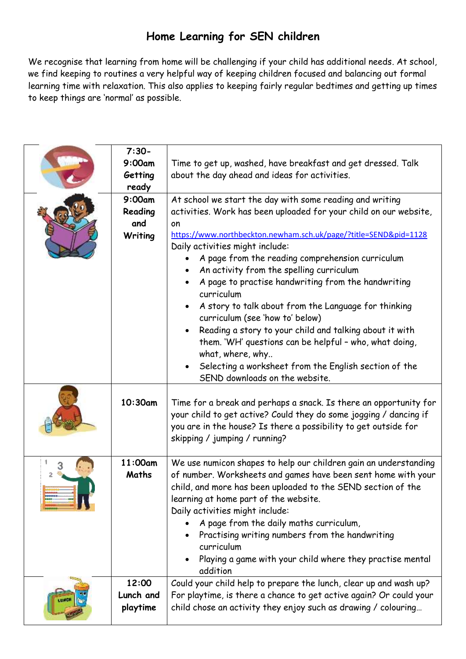## **Home Learning for SEN children**

We recognise that learning from home will be challenging if your child has additional needs. At school, we find keeping to routines a very helpful way of keeping children focused and balancing out formal learning time with relaxation. This also applies to keeping fairly regular bedtimes and getting up times to keep things are 'normal' as possible.

| $7:30-$<br>9:00am<br>Getting        | Time to get up, washed, have breakfast and get dressed. Talk<br>about the day ahead and ideas for activities.                                                                                                                                                                                                                                                                                                                                                                                                                                                                                                                                                                                                                                                            |
|-------------------------------------|--------------------------------------------------------------------------------------------------------------------------------------------------------------------------------------------------------------------------------------------------------------------------------------------------------------------------------------------------------------------------------------------------------------------------------------------------------------------------------------------------------------------------------------------------------------------------------------------------------------------------------------------------------------------------------------------------------------------------------------------------------------------------|
| ready                               |                                                                                                                                                                                                                                                                                                                                                                                                                                                                                                                                                                                                                                                                                                                                                                          |
| 9:00am<br>Reading<br>and<br>Writing | At school we start the day with some reading and writing<br>activities. Work has been uploaded for your child on our website,<br>on<br>https://www.northbeckton.newham.sch.uk/page/?title=SEND&pid=1128<br>Daily activities might include:<br>A page from the reading comprehension curriculum<br>An activity from the spelling curriculum<br>A page to practise handwriting from the handwriting<br>curriculum<br>A story to talk about from the Language for thinking<br>$\bullet$<br>curriculum (see 'how to' below)<br>Reading a story to your child and talking about it with<br>$\bullet$<br>them. 'WH' questions can be helpful - who, what doing,<br>what, where, why<br>Selecting a worksheet from the English section of the<br>SEND downloads on the website. |
| 10:30am                             | Time for a break and perhaps a snack. Is there an opportunity for<br>your child to get active? Could they do some jogging / dancing if<br>you are in the house? Is there a possibility to get outside for                                                                                                                                                                                                                                                                                                                                                                                                                                                                                                                                                                |
|                                     | skipping / jumping / running?                                                                                                                                                                                                                                                                                                                                                                                                                                                                                                                                                                                                                                                                                                                                            |
| 11:00am<br>Maths                    | We use numicon shapes to help our children gain an understanding<br>of number. Worksheets and games have been sent home with your<br>child, and more has been uploaded to the SEND section of the<br>learning at home part of the website.<br>Daily activities might include:<br>A page from the daily maths curriculum,<br>Practising writing numbers from the handwriting<br>curriculum<br>Playing a game with your child where they practise mental<br>addition                                                                                                                                                                                                                                                                                                       |
| 12:00<br>Lunch and                  | Could your child help to prepare the lunch, clear up and wash up?<br>For playtime, is there a chance to get active again? Or could your                                                                                                                                                                                                                                                                                                                                                                                                                                                                                                                                                                                                                                  |